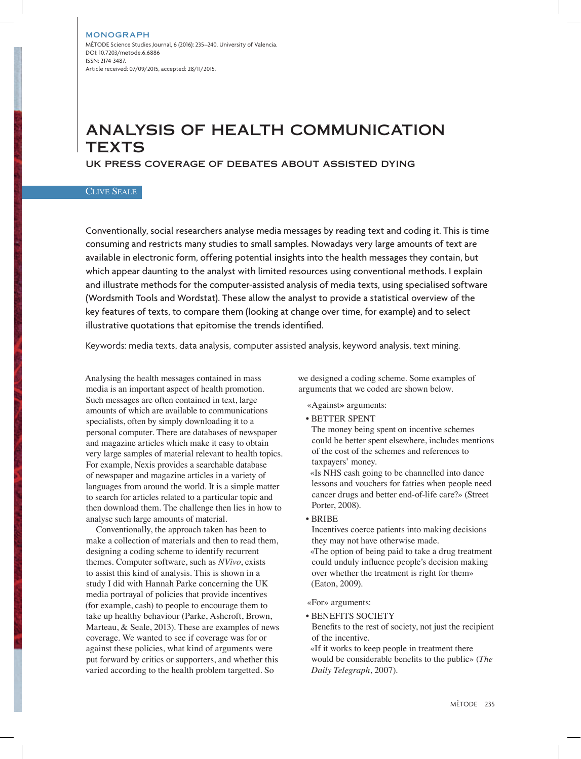# ANALYSIS OF HEALTH COMMUNICATION **TEXTS**

UK PRESS COVERAGE OF DEBATES ABOUT ASSISTED DYING

# Clive Seale

Conventionally, social researchers analyse media messages by reading text and coding it. This is time consuming and restricts many studies to small samples. Nowadays very large amounts of text are available in electronic form, offering potential insights into the health messages they contain, but which appear daunting to the analyst with limited resources using conventional methods. I explain and illustrate methods for the computer-assisted analysis of media texts, using specialised software (Wordsmith Tools and Wordstat). These allow the analyst to provide a statistical overview of the key features of texts, to compare them (looking at change over time, for example) and to select illustrative quotations that epitomise the trends identified.

Keywords: media texts, data analysis, computer assisted analysis, keyword analysis, text mining.

Analysing the health messages contained in mass media is an important aspect of health promotion. Such messages are often contained in text, large amounts of which are available to communications specialists, often by simply downloading it to a personal computer. There are databases of newspaper and magazine articles which make it easy to obtain very large samples of material relevant to health topics. For example, Nexis provides a searchable database of newspaper and magazine articles in a variety of languages from around the world. It is a simple matter to search for articles related to a particular topic and then download them. The challenge then lies in how to analyse such large amounts of material.

Conventionally, the approach taken has been to make a collection of materials and then to read them, designing a coding scheme to identify recurrent themes. Computer software, such as *NVivo*, exists to assist this kind of analysis. This is shown in a study I did with Hannah Parke concerning the UK media portrayal of policies that provide incentives (for example, cash) to people to encourage them to take up healthy behaviour (Parke, Ashcroft, Brown, Marteau, & Seale, 2013). These are examples of news coverage. We wanted to see if coverage was for or against these policies, what kind of arguments were put forward by critics or supporters, and whether this varied according to the health problem targetted. So

we designed a coding scheme. Some examples of arguments that we coded are shown below.

- «Against**»** arguments:
- BETTER SPENT

The money being spent on incentive schemes could be better spent elsewhere, includes mentions of the cost of the schemes and references to taxpayers' money.

«Is NHS cash going to be channelled into dance lessons and vouchers for fatties when people need cancer drugs and better end-of-life care?» (Street Porter, 2008).

• BRIBE

Incentives coerce patients into making decisions they may not have otherwise made. «The option of being paid to take a drug treatment could unduly influence people's decision making over whether the treatment is right for them» (Eaton, 2009).

«For» arguments:

• BENEFITS SOCIETY

Benefits to the rest of society, not just the recipient of the incentive.

«If it works to keep people in treatment there would be considerable benefits to the public» (*The Daily Telegraph*, 2007).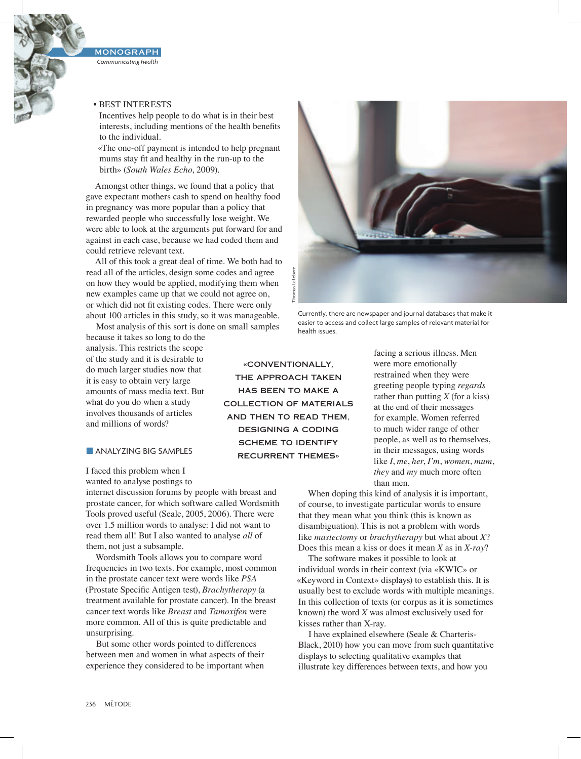*Communicating health* MONOGRAPH

## • BEST INTERESTS

Incentives help people to do what is in their best interests, including mentions of the health benefits to the individual.

«The one-off payment is intended to help pregnant mums stay fit and healthy in the run-up to the birth» (*South Wales Echo*, 2009).

Amongst other things, we found that a policy that gave expectant mothers cash to spend on healthy food in pregnancy was more popular than a policy that rewarded people who successfully lose weight. We were able to look at the arguments put forward for and against in each case, because we had coded them and could retrieve relevant text.

All of this took a great deal of time. We both had to read all of the articles, design some codes and agree on how they would be applied, modifying them when new examples came up that we could not agree on, or which did not fit existing codes. There were only about 100 articles in this study, so it was manageable.

Most analysis of this sort is done on small samples

because it takes so long to do the analysis. This restricts the scope of the study and it is desirable to do much larger studies now that it is easy to obtain very large amounts of mass media text. But what do you do when a study involves thousands of articles and millions of words?

## **NANALYZING BIG SAMPLES**

I faced this problem when I wanted to analyse postings to

internet discussion forums by people with breast and prostate cancer, for which software called Wordsmith Tools proved useful (Seale, 2005, 2006). There were over 1.5 million words to analyse: I did not want to read them all! But I also wanted to analyse *all* of them, not just a subsample.

Wordsmith Tools allows you to compare word frequencies in two texts. For example, most common in the prostate cancer text were words like *PSA* (Prostate Specific Antigen test), *Brachytherapy* (a treatment available for prostate cancer). In the breast cancer text words like *Breast* and *Tamoxifen* were more common. All of this is quite predictable and unsurprising.

But some other words pointed to differences between men and women in what aspects of their experience they considered to be important when

«CONVENTIONALLY, THE APPROACH TAKEN HAS BEEN TO MAKE A COLLECTION OF MATERIALS AND THEN TO READ THEM, DESIGNING A CODING SCHEME TO IDENTIFY RECURRENT THEMES»



Currently, there are newspaper and journal databases that make it easier to access and collect large samples of relevant material for health issues.

facing a serious illness. Men were more emotionally restrained when they were greeting people typing *regards* rather than putting *X* (for a kiss) at the end of their messages for example. Women referred to much wider range of other people, as well as to themselves, in their messages, using words like *I*, *me*, *her*, *I'm*, *women*, *mum*, *they* and *my* much more often than men.

When doping this kind of analysis it is important, of course, to investigate particular words to ensure that they mean what you think (this is known as disambiguation). This is not a problem with words like *mastectomy* or *brachytherapy* but what about *X*? Does this mean a kiss or does it mean *X* as in *X-ray*?

The software makes it possible to look at individual words in their context (via «KWIC» or «Keyword in Context» displays) to establish this. It is usually best to exclude words with multiple meanings. In this collection of texts (or corpus as it is sometimes known) the word *X* was almost exclusively used for kisses rather than X-ray.

I have explained elsewhere (Seale & Charteris-Black, 2010) how you can move from such quantitative displays to selecting qualitative examples that illustrate key differences between texts, and how you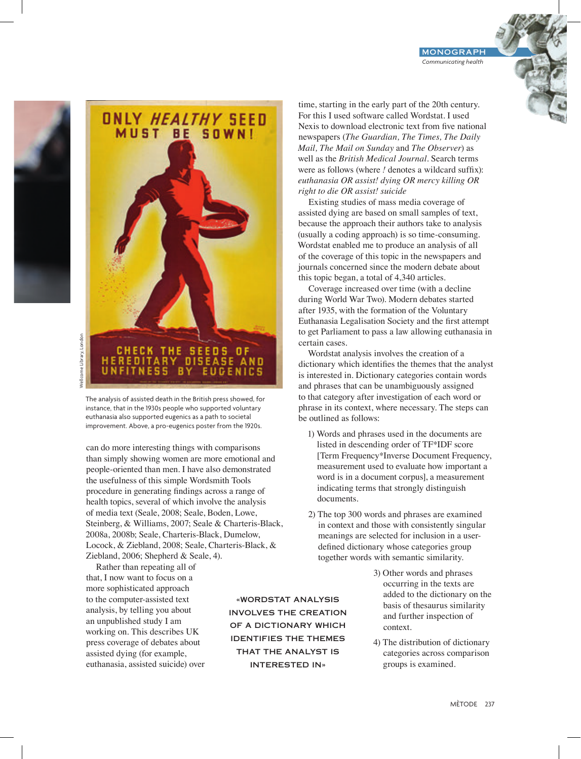

The analysis of assisted death in the British press showed, for instance, that in the 1930s people who supported voluntary euthanasia also supported eugenics as a path to societal improvement. Above, a pro-eugenics poster from the 1920s.

can do more interesting things with comparisons than simply showing women are more emotional and people-oriented than men. I have also demonstrated the usefulness of this simple Wordsmith Tools procedure in generating findings across a range of health topics, several of which involve the analysis of media text (Seale, 2008; Seale, Boden, Lowe, Steinberg, & Williams, 2007; Seale & Charteris-Black, 2008a, 2008b; Seale, Charteris-Black, Dumelow, Locock, & Ziebland, 2008; Seale, Charteris-Black, & Ziebland, 2006; Shepherd & Seale, 4).

Rather than repeating all of that, I now want to focus on a more sophisticated approach to the computer-assisted text analysis, by telling you about an unpublished study I am working on. This describes UK press coverage of debates about assisted dying (for example, euthanasia, assisted suicide) over

«WORDSTAT ANALYSIS INVOLVES THE CREATION OF A DICTIONARY WHICH IDENTIFIES THE THEMES THAT THE ANALYST IS INTERESTED IN»

time, starting in the early part of the 20th century. For this I used software called Wordstat. I used Nexis to download electronic text from five national newspapers (*The Guardian, The Times, The Daily Mail, The Mail on Sunday* and *The Observer*) as well as the *British Medical Journal*. Search terms were as follows (where *!* denotes a wildcard suffix): *euthanasia OR assist! dying OR mercy killing OR right to die OR assist! suicide*

Existing studies of mass media coverage of assisted dying are based on small samples of text, because the approach their authors take to analysis (usually a coding approach) is so time-consuming. Wordstat enabled me to produce an analysis of all of the coverage of this topic in the newspapers and journals concerned since the modern debate about this topic began, a total of 4,340 articles.

Coverage increased over time (with a decline during World War Two). Modern debates started after 1935, with the formation of the Voluntary Euthanasia Legalisation Society and the first attempt to get Parliament to pass a law allowing euthanasia in certain cases.

Wordstat analysis involves the creation of a dictionary which identifies the themes that the analyst is interested in. Dictionary categories contain words and phrases that can be unambiguously assigned to that category after investigation of each word or phrase in its context, where necessary. The steps can be outlined as follows:

- 1) Words and phrases used in the documents are listed in descending order of TF\*IDF score [Term Frequency\*Inverse Document Frequency, measurement used to evaluate how important a word is in a document corpus], a measurement indicating terms that strongly distinguish documents.
- 2) The top 300 words and phrases are examined in context and those with consistently singular meanings are selected for inclusion in a userdefined dictionary whose categories group together words with semantic similarity.
	- 3) Other words and phrases occurring in the texts are added to the dictionary on the basis of thesaurus similarity and further inspection of context.
	- 4) The distribution of dictionary categories across comparison groups is examined.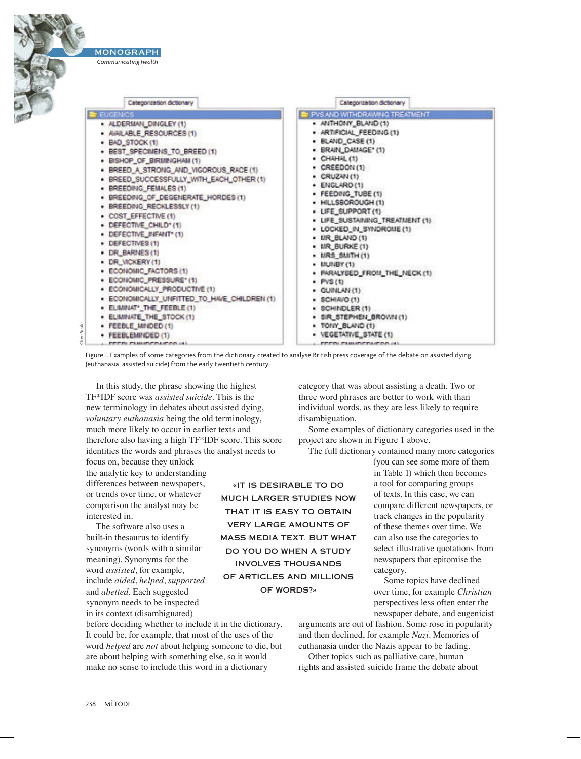| Categorization dictionary                                                                                                                                                                                                                                                                                                                                                                                                                                                                                                                                                                                                                                                                                                    | Categorization dictionary                                                                                                                                                                                                                                                                                                                                                                                                                                                                                                                                                   |
|------------------------------------------------------------------------------------------------------------------------------------------------------------------------------------------------------------------------------------------------------------------------------------------------------------------------------------------------------------------------------------------------------------------------------------------------------------------------------------------------------------------------------------------------------------------------------------------------------------------------------------------------------------------------------------------------------------------------------|-----------------------------------------------------------------------------------------------------------------------------------------------------------------------------------------------------------------------------------------------------------------------------------------------------------------------------------------------------------------------------------------------------------------------------------------------------------------------------------------------------------------------------------------------------------------------------|
| <b>EUGENICS</b>                                                                                                                                                                                                                                                                                                                                                                                                                                                                                                                                                                                                                                                                                                              | PVS AND WITHDRAWING TREATMENT                                                                                                                                                                                                                                                                                                                                                                                                                                                                                                                                               |
| · ALDERMAN DINGLEY (1)<br>· AVAILABLE RESOURCES (1)<br>$\bullet$ BAD_STOCK (1)<br>· BEST_SPECIMENS_TO_BREED (1)<br>· BISHOP OF BIRMINGHAM (1)<br>· BREED A STRONG AND VIGOROUS RACE (1)<br>· BREED_SUCCESSFULLY_WITH_EACH_OTHER (1)<br>· BREEDING FEMALES (1)<br>· BREEDING OF DEGENERATE HORDES (1)<br>+ BREEDING RECKLESSLY (1)<br>COST EFFECTIVE (1)<br>· DEFECTIVE CHILD*(1)<br>· DEFECTIVE INFANT (1)<br>$\bullet$ DEFECTIVES (1)<br>· DR_BARNES (1)<br>· DR VICKERY (1)<br>· ECONOMIC FACTORS (1)<br>· ECONOMIC_PRESSURE* (1)<br>· ECONOMICALLY PRODUCTIVE (1)<br>· ECONOMICALLY UNFITTED TO HAVE CHILDREN (1)<br>· ELIMINAT*_THE_FEEBLE (1)<br>• ELIMINATE_THE_STOCK (1)<br>· FEEBLE MINDED (1)<br>· FEEBLEMINDED (1) | · ANTHONY_BLAND (1)<br>· ARTIFICIAL FEEDING (1)<br>· BLAND_CASE (1)<br>· BRAIN_DAMAGE* (1)<br>$\bullet$ CHAHAL (1)<br>$-$ CREEDON (1)<br>· CRUZAN (1)<br>+ ENGLARO (1)<br>· FEEDING_TUBE (1)<br>· HILLSBOROUGH (1)<br>· LIFE_SUPPORT (1)<br>· LIFE_SUSTAINING_TREATMENT (1)<br>· LOCKED_IN_SYNDROME (1)<br>· MR_BLAND (1)<br>$\cdot$ MR_BURKE (1)<br>· MRS SMITH (1)<br>$ MUNBY(1)$<br>· PARALYSED_FROM_THE_NECK (1)<br>$\cdot$ PVS (1)<br>$-$ CUINLAN $(1)$<br>$-$ SCHIAVO (1)<br>· SCHINDLER (1)<br>· SIR_STEPHEN_BROWN (1)<br>· TONY BLAND (1)<br>· VEGETATIVE_STATE (1) |

Figure 1. Examples of some categories from the dictionary created to analyse British press coverage of the debate on assisted dying (euthanasia, assisted suicide) from the early twentieth century.

> «IT IS DESIRABLE TO DO MUCH LARGER STUDIES NOW THAT IT IS EASY TO OBTAIN VERY LARGE AMOUNTS OF MASS MEDIA TEXT. BUT WHAT DO YOU DO WHEN A STUDY INVOLVES THOUSANDS OF ARTICLES AND MILLIONS OF WORDS?»

In this study, the phrase showing the highest TF\*IDF score was *assisted suicide*. This is the new terminology in debates about assisted dying, *voluntary euthanasia* being the old terminology, much more likely to occur in earlier texts and therefore also having a high TF\*IDF score. This score identifies the words and phrases the analyst needs to

focus on, because they unlock the analytic key to understanding differences between newspapers, or trends over time, or whatever comparison the analyst may be interested in.

*Communicating health* **MONOGRAPH** 

The software also uses a built-in thesaurus to identify synonyms (words with a similar meaning). Synonyms for the word *assisted*, for example, include *aided*, *helped*, *supported* and *abetted*. Each suggested synonym needs to be inspected in its context (disambiguated)

before deciding whether to include it in the dictionary. It could be, for example, that most of the uses of the word *helped* are *not* about helping someone to die, but are about helping with something else, so it would make no sense to include this word in a dictionary

category that was about assisting a death. Two or three word phrases are better to work with than individual words, as they are less likely to require disambiguation.

Some examples of dictionary categories used in the project are shown in Figure 1 above.

The full dictionary contained many more categories

(you can see some more of them in Table 1) which then becomes a tool for comparing groups of texts. In this case, we can compare different newspapers, or track changes in the popularity of these themes over time. We can also use the categories to select illustrative quotations from newspapers that epitomise the category.

Some topics have declined over time, for example *Christian* perspectives less often enter the newspaper debate, and eugenicist

arguments are out of fashion. Some rose in popularity and then declined, for example *Nazi*. Memories of euthanasia under the Nazis appear to be fading.

Other topics such as palliative care, human rights and assisted suicide frame the debate about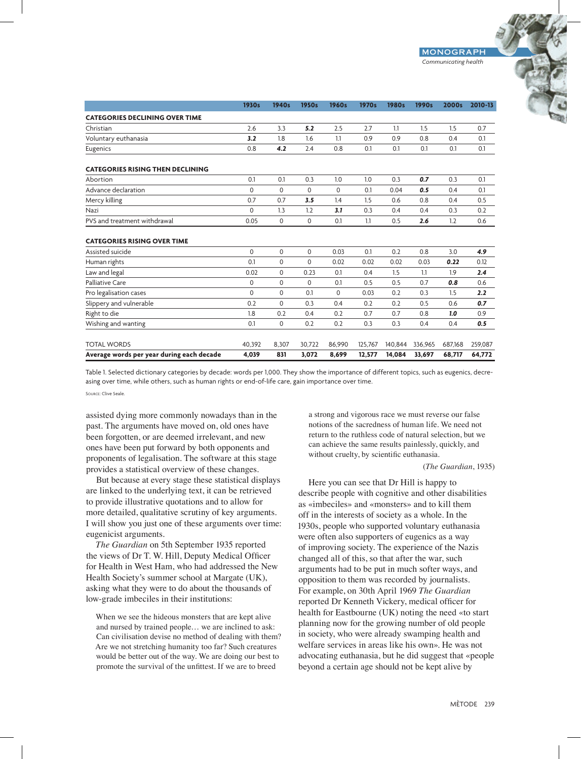**1930s 1940s 1950s 1960s 1970s 1980s 1990s 2000s 2010-13**

| <b>CATEGORIES DECLINING OVER TIME</b>                  |             |             |             |          |      |      |      |      |      |
|--------------------------------------------------------|-------------|-------------|-------------|----------|------|------|------|------|------|
| Christian                                              | 2.6         | 3.3         | 5.2         | 2.5      | 2.7  | 1.1  | 1.5  | 1.5  | 0.7  |
| Voluntary euthanasia                                   | 3.2         | 1.8         | 1.6         | 1.1      | 0.9  | 0.9  | 0.8  | 0.4  | 0.1  |
| Eugenics                                               | 0.8         | 4.2         | 2.4         | 0.8      | 0.1  | 0.1  | 0.1  | 0.1  | 0.1  |
| <b>CATEGORIES RISING THEN DECLINING</b>                |             |             |             |          |      |      |      |      |      |
| Abortion                                               | 0.1         | 0.1         | 0.3         | 1.0      | 1.0  | 0.3  | 0.7  | 0.3  | 0.1  |
| Advance declaration                                    | $\Omega$    | $\Omega$    | $\Omega$    | $\Omega$ | 0.1  | 0.04 | 0.5  | 0.4  | 0.1  |
| Mercy killing                                          | 0.7         | 0.7         | 3.5         | 1.4      | 1.5  | 0.6  | 0.8  | 0.4  | 0.5  |
| Nazi                                                   | $\Omega$    | 1.3         | 1.2         | 3.1      | 0.3  | 0.4  | 0.4  | 0.3  | 0.2  |
| PVS and treatment withdrawal                           | 0.05        | $\mathbf 0$ | $\mathbf 0$ | 0.1      | 1.1  | 0.5  | 2.6  | 1.2  | 0.6  |
| <b>CATEGORIES RISING OVER TIME</b><br>Assisted suicide | $\Omega$    | $\Omega$    | $\mathbf 0$ | 0.03     | 0.1  | 0.2  | 0.8  | 3.0  | 4.9  |
| Human rights                                           | 0.1         | $\mathbf 0$ | $\Omega$    | 0.02     | 0.02 | 0.02 | 0.03 | 0.22 | 0.12 |
| Law and legal                                          | 0.02        | $\mathbf 0$ | 0.23        | 0.1      | 0.4  | 1.5  | 1.1  | 1.9  | 2.4  |
| Palliative Care                                        | $\mathbf 0$ | $\Omega$    | $\mathbf 0$ | 0.1      | 0.5  | 0.5  | 0.7  | 0.8  | 0.6  |
| Pro legalisation cases                                 | $\mathbf 0$ | $\Omega$    | 0.1         | $\Omega$ | 0.03 | 0.2  | 0.3  | 1.5  | 2.2  |
| Slippery and vulnerable                                | 0.2         | $\Omega$    | 0.3         | 0.4      | 0.2  | 0.2  | 0.5  | 0.6  | 0.7  |
| Right to die                                           | 1.8         | 0.2         | 0.4         | 0.2      | 0.7  | 0.7  | 0.8  | 1.0  | 0.9  |
| Wishing and wanting                                    | 0.1         | 0           | 0.2         | 0.2      | 0.3  | 0.3  | 0.4  | 0.4  | 0.5  |

Table 1. Selected dictionary categories by decade: words per 1,000. They show the importance of different topics, such as eugenics, decreasing over time, while others, such as human rights or end-of-life care, gain importance over time.

TOTAL WORDS 40,392 8,307 30,722 86,990 125,767 140,844 336,965 687,168 259,087 **Average words per year during each decade 4,039 831 3,072 8,699 12,577 14,084 33,697 68,717 64,772** 

Source: Clive Seale.

assisted dying more commonly nowadays than in the past. The arguments have moved on, old ones have been forgotten, or are deemed irrelevant, and new ones have been put forward by both opponents and proponents of legalisation. The software at this stage provides a statistical overview of these changes.

But because at every stage these statistical displays are linked to the underlying text, it can be retrieved to provide illustrative quotations and to allow for more detailed, qualitative scrutiny of key arguments. I will show you just one of these arguments over time: eugenicist arguments.

*The Guardian* on 5th September 1935 reported the views of Dr T. W. Hill, Deputy Medical Officer for Health in West Ham, who had addressed the New Health Society's summer school at Margate (UK), asking what they were to do about the thousands of low-grade imbeciles in their institutions:

When we see the hideous monsters that are kept alive and nursed by trained people… we are inclined to ask: Can civilisation devise no method of dealing with them? Are we not stretching humanity too far? Such creatures would be better out of the way. We are doing our best to promote the survival of the unfittest. If we are to breed

a strong and vigorous race we must reverse our false notions of the sacredness of human life. We need not return to the ruthless code of natural selection, but we can achieve the same results painlessly, quickly, and without cruelty, by scientific euthanasia.

#### (*The Guardian*, 1935)

Here you can see that Dr Hill is happy to describe people with cognitive and other disabilities as «imbeciles» and «monsters» and to kill them off in the interests of society as a whole. In the 1930s, people who supported voluntary euthanasia were often also supporters of eugenics as a way of improving society. The experience of the Nazis changed all of this, so that after the war, such arguments had to be put in much softer ways, and opposition to them was recorded by journalists. For example, on 30th April 1969 *The Guardian*  reported Dr Kenneth Vickery, medical officer for health for Eastbourne (UK) noting the need «to start planning now for the growing number of old people in society, who were already swamping health and welfare services in areas like his own». He was not advocating euthanasia, but he did suggest that «people beyond a certain age should not be kept alive by